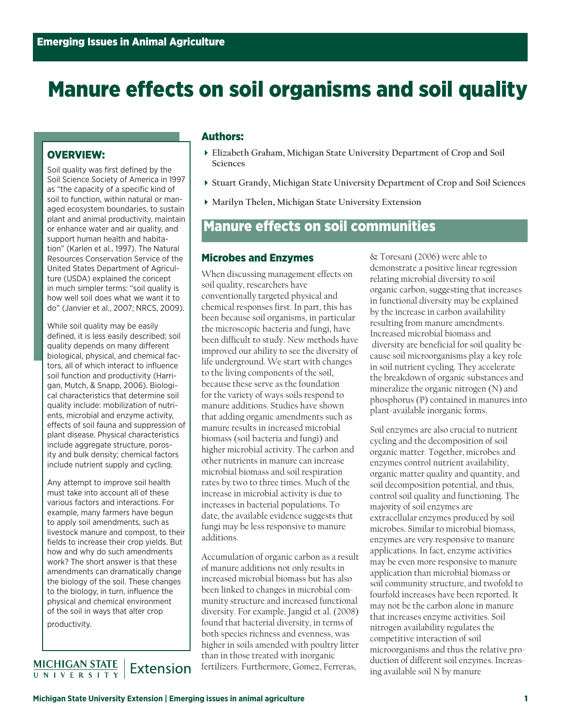# Manure effects on soil organisms and soil quality

### OVERVIEW:

Soil quality was first defined by the Soil Science Society of America in 1997 as "the capacity of a specific kind of soil to function, within natural or managed ecosystem boundaries, to sustain plant and animal productivity, maintain or enhance water and air quality, and support human health and habitation" (Karlen et al., 1997). The Natural Resources Conservation Service of the United States Department of Agriculture (USDA) explained the concept in much simpler terms: "soil quality is how well soil does what we want it to do" (Janvier et al., 2007; NRCS, 2009).

While soil quality may be easily defined, it is less easily described; soil quality depends on many different biological, physical, and chemical factors, all of which interact to influence soil function and productivity (Harrigan, Mutch, & Snapp, 2006). Biological characteristics that determine soil quality include: mobilization of nutrients, microbial and enzyme activity, effects of soil fauna and suppression of plant disease. Physical characteristics include aggregate structure, porosity and bulk density; chemical factors include nutrient supply and cycling.

Any attempt to improve soil health must take into account all of these various factors and interactions. For example, many farmers have begun to apply soil amendments, such as livestock manure and compost, to their fields to increase their crop yields. But how and why do such amendments work? The short answer is that these amendments can dramatically change the biology of the soil. These changes to the biology, in turn, influence the physical and chemical environment of the soil in ways that alter crop productivity.

MICHIGAN STATE<br>UNIVERSITY Extension

#### Authors:

- **Elizabeth Graham, Michigan State University Department of Crop and Soil Sciences**
- **Stuart Grandy, Michigan State University Department of Crop and Soil Sciences**
- **Marilyn Thelen, Michigan State University Extension**

# **Manure effects on soil communities**

#### Microbes and Enzymes

When discussing management effects on soil quality, researchers have conventionally targeted physical and chemical responses first. In part, this has been because soil organisms, in particular the microscopic bacteria and fungi, have been difficult to study. New methods have improved our ability to see the diversity of life underground. We start with changes to the living components of the soil, because these serve as the foundation for the variety of ways soils respond to manure additions. Studies have shown that adding organic amendments such as manure results in increased microbial biomass (soil bacteria and fungi) and higher microbial activity. The carbon and other nutrients in manure can increase microbial biomass and soil respiration rates by two to three times. Much of the increase in microbial activity is due to increases in bacterial populations. To date, the available evidence suggests that fungi may be less responsive to manure additions.

Accumulation of organic carbon as a result of manure additions not only results in increased microbial biomass but has also been linked to changes in microbial community structure and increased functional diversity. For example, Jangid et al. (2008) found that bacterial diversity, in terms of both species richness and evenness, was higher in soils amended with poultry litter than in those treated with inorganic fertilizers. Furthermore, Gomez, Ferreras,

& Toresani (2006) were able to demonstrate a positive linear regression relating microbial diversity to soil organic carbon, suggesting that increases in functional diversity may be explained by the increase in carbon availability resulting from manure amendments. Increased microbial biomass and diversity are beneficial for soil quality because soil microorganisms play a key role in soil nutrient cycling. They accelerate the breakdown of organic substances and mineralize the organic nitrogen (N) and phosphorus (P) contained in manures into plant-available inorganic forms.

Soil enzymes are also crucial to nutrient cycling and the decomposition of soil organic matter. Together, microbes and enzymes control nutrient availability, organic matter quality and quantity, and soil decomposition potential, and thus, control soil quality and functioning. The majority of soil enzymes are extracellular enzymes produced by soil microbes. Similar to microbial biomass, enzymes are very responsive to manure applications. In fact, enzyme activities may be even more responsive to manure application than microbial biomass or soil community structure, and twofold to fourfold increases have been reported. It may not be the carbon alone in manure that increases enzyme activities. Soil nitrogen availability regulates the competitive interaction of soil microorganisms and thus the relative production of different soil enzymes. Increasing available soil N by manure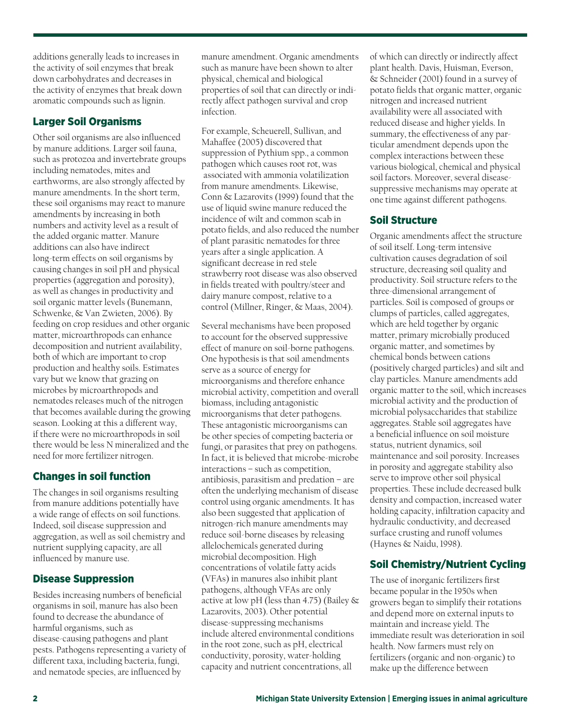additions generally leads to increases in the activity of soil enzymes that break down carbohydrates and decreases in the activity of enzymes that break down aromatic compounds such as lignin.

# Larger Soil Organisms

Other soil organisms are also influenced by manure additions. Larger soil fauna, such as protozoa and invertebrate groups including nematodes, mites and earthworms, are also strongly affected by manure amendments. In the short term, these soil organisms may react to manure amendments by increasing in both numbers and activity level as a result of the added organic matter. Manure additions can also have indirect long-term effects on soil organisms by causing changes in soil pH and physical properties (aggregation and porosity), as well as changes in productivity and soil organic matter levels (Bunemann, Schwenke, & Van Zwieten, 2006). By feeding on crop residues and other organic matter, microarthropods can enhance decomposition and nutrient availability, both of which are important to crop production and healthy soils. Estimates vary but we know that grazing on microbes by microarthropods and nematodes releases much of the nitrogen that becomes available during the growing season. Looking at this a different way, if there were no microarthropods in soil there would be less N mineralized and the need for more fertilizer nitrogen.

## Changes in soil function

The changes in soil organisms resulting from manure additions potentially have a wide range of effects on soil functions. Indeed, soil disease suppression and aggregation, as well as soil chemistry and nutrient supplying capacity, are all influenced by manure use.

## Disease Suppression

Besides increasing numbers of beneficial organisms in soil, manure has also been found to decrease the abundance of harmful organisms, such as disease-causing pathogens and plant pests. Pathogens representing a variety of different taxa, including bacteria, fungi, and nematode species, are influenced by

manure amendment. Organic amendments such as manure have been shown to alter physical, chemical and biological properties of soil that can directly or indirectly affect pathogen survival and crop infection.

For example, Scheuerell, Sullivan, and Mahaffee (2005) discovered that suppression of Pythium spp., a common pathogen which causes root rot, was associated with ammonia volatilization from manure amendments. Likewise, Conn & Lazarovits (1999) found that the use of liquid swine manure reduced the incidence of wilt and common scab in potato fields, and also reduced the number of plant parasitic nematodes for three years after a single application. A significant decrease in red stele strawberry root disease was also observed in fields treated with poultry/steer and dairy manure compost, relative to a control (Millner, Ringer, & Maas, 2004).

Several mechanisms have been proposed to account for the observed suppressive effect of manure on soil-borne pathogens. One hypothesis is that soil amendments serve as a source of energy for microorganisms and therefore enhance microbial activity, competition and overall biomass, including antagonistic microorganisms that deter pathogens. These antagonistic microorganisms can be other species of competing bacteria or fungi, or parasites that prey on pathogens. In fact, it is believed that microbe-microbe interactions – such as competition, antibiosis, parasitism and predation – are often the underlying mechanism of disease control using organic amendments. It has also been suggested that application of nitrogen-rich manure amendments may reduce soil-borne diseases by releasing allelochemicals generated during microbial decomposition. High concentrations of volatile fatty acids (VFAs) in manures also inhibit plant pathogens, although VFAs are only active at low pH (less than 4.75) (Bailey & Lazarovits, 2003). Other potential disease-suppressing mechanisms include altered environmental conditions in the root zone, such as pH, electrical conductivity, porosity, water-holding capacity and nutrient concentrations, all

of which can directly or indirectly affect plant health. Davis, Huisman, Everson, & Schneider (2001) found in a survey of potato fields that organic matter, organic nitrogen and increased nutrient availability were all associated with reduced disease and higher yields. In summary, the effectiveness of any particular amendment depends upon the complex interactions between these various biological, chemical and physical soil factors. Moreover, several diseasesuppressive mechanisms may operate at one time against different pathogens.

#### Soil Structure

Organic amendments affect the structure of soil itself. Long-term intensive cultivation causes degradation of soil structure, decreasing soil quality and productivity. Soil structure refers to the three-dimensional arrangement of particles. Soil is composed of groups or clumps of particles, called aggregates, which are held together by organic matter, primary microbially produced organic matter, and sometimes by chemical bonds between cations (positively charged particles) and silt and clay particles. Manure amendments add organic matter to the soil, which increases microbial activity and the production of microbial polysaccharides that stabilize aggregates. Stable soil aggregates have a beneficial influence on soil moisture status, nutrient dynamics, soil maintenance and soil porosity. Increases in porosity and aggregate stability also serve to improve other soil physical properties. These include decreased bulk density and compaction, increased water holding capacity, infiltration capacity and hydraulic conductivity, and decreased surface crusting and runoff volumes (Haynes & Naidu, 1998).

# Soil Chemistry/Nutrient Cycling

The use of inorganic fertilizers first became popular in the 1950s when growers began to simplify their rotations and depend more on external inputs to maintain and increase yield. The immediate result was deterioration in soil health. Now farmers must rely on fertilizers (organic and non-organic) to make up the difference between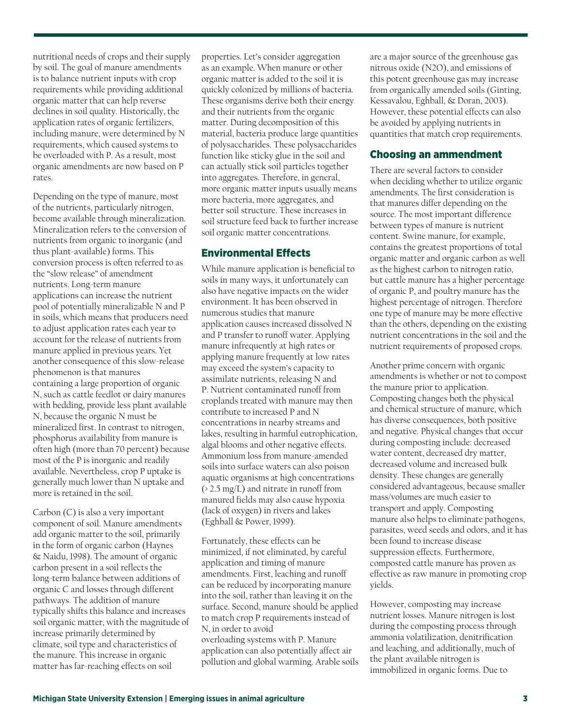nutritional needs of crops and their supply by soil. The goal of manure amendments is to balance nutrient inputs with crop requirements while providing additional organic matter that can help reverse declines in soil quality. Historically, the application rates of organic fertilizers, including manure, were determined by N requirements, which caused systems to be overloaded with P. As a result, most organic amendments are now based on P rates.

Depending on the type of manure, most of the nutrients, particularly nitrogen, become available through mineralization. Mineralization refers to the conversion of nutrients from organic to inorganic (and thus plant-available) forms. This conversion process is often referred to as the "slow release" of amendment nutrients. Long-term manure applications can increase the nutrient pool of potentially mineralizable N and P in soils, which means that producers need to adjust application rates each year to account for the release of nutrients from manure applied in previous years. Yet another consequence of this slow-release phenomenon is that manures containing a large proportion of organic N, such as cattle feedlot or dairy manures with bedding, provide less plant available N, because the organic N must be mineralized first. In contrast to nitrogen, phosphorus availability from manure is often high (more than 70 percent) because most of the P is inorganic and readily available. Nevertheless, crop P uptake is generally much lower than N uptake and more is retained in the soil.

Carbon (C) is also a very important component of soil. Manure amendments add organic matter to the soil, primarily in the form of organic carbon (Haynes & Naidu, 1998). The amount of organic carbon present in a soil reflects the long-term balance between additions of organic C and losses through different pathways. The addition of manure typically shifts this balance and increases soil organic matter, with the magnitude of increase primarily determined by climate, soil type and characteristics of the manure. This increase in organic matter has far-reaching effects on soil

properties. Let's consider aggregation as an example. When manure or other organic matter is added to the soil it is quickly colonized by millions of bacteria. These organisms derive both their energy and their nutrients from the organic matter. During decomposition of this material, bacteria produce large quantities of polysaccharides. These polysaccharides function like sticky glue in the soil and can actually stick soil particles together into aggregates. Therefore, in general, more organic matter inputs usually means more bacteria, more aggregates, and better soil structure. These increases in soil structure feed back to further increase soil organic matter concentrations.

#### **Environmental Effects**

While manure application is beneficial to soils in many ways, it unfortunately can also have negative impacts on the wider environment. It has been observed in numerous studies that manure application causes increased dissolved N and P transfer to runoff water. Applying manure infrequently at high rates or applying manure frequently at low rates may exceed the system's capacity to assimilate nutrients, releasing N and P. Nutrient contaminated runoff from croplands treated with manure may then contribute to increased P and N concentrations in nearby streams and lakes, resulting in harmful eutrophication, algal blooms and other negative effects. Ammonium loss from manure-amended soils into surface waters can also poison aquatic organisms at high concentrations (> 2.5 mg/L) and nitrate in runoff from manured fields may also cause hypoxia (lack of oxygen) in rivers and lakes (Eghball & Power, 1999).

Fortunately, these effects can be minimized, if not eliminated, by careful application and timing of manure amendments. First, leaching and runoff can be reduced by incorporating manure into the soil, rather than leaving it on the surface. Second, manure should be applied to match crop P requirements instead of N, in order to avoid overloading systems with P. Manure application can also potentially affect air pollution and global warming. Arable soils are a major source of the greenhouse gas nitrous oxide (N2O), and emissions of this potent greenhouse gas may increase from organically amended soils (Ginting, Kessavalou, Eghball, & Doran, 2003). However, these potential effects can also be avoided by applying nutrients in quantities that match crop requirements.

#### Choosing an ammendment

There are several factors to consider when deciding whether to utilize organic amendments. The first consideration is that manures differ depending on the source. The most important difference between types of manure is nutrient content. Swine manure, for example, contains the greatest proportions of total organic matter and organic carbon as well as the highest carbon to nitrogen ratio, but cattle manure has a higher percentage of organic P, and poultry manure has the highest percentage of nitrogen. Therefore one type of manure may be more effective than the others, depending on the existing nutrient concentrations in the soil and the nutrient requirements of proposed crops.

Another prime concern with organic amendments is whether or not to compost the manure prior to application. Composting changes both the physical and chemical structure of manure, which has diverse consequences, both positive and negative. Physical changes that occur during composting include: decreased water content, decreased dry matter, decreased volume and increased bulk density. These changes are generally considered advantageous, because smaller mass/volumes are much easier to transport and apply. Composting manure also helps to eliminate pathogens, parasites, weed seeds and odors, and it has been found to increase disease suppression effects. Furthermore, composted cattle manure has proven as effective as raw manure in promoting crop yields.

However, composting may increase nutrient losses. Manure nitrogen is lost during the composting process through ammonia volatilization, denitrification and leaching, and additionally, much of the plant available nitrogen is immobilized in organic forms. Due to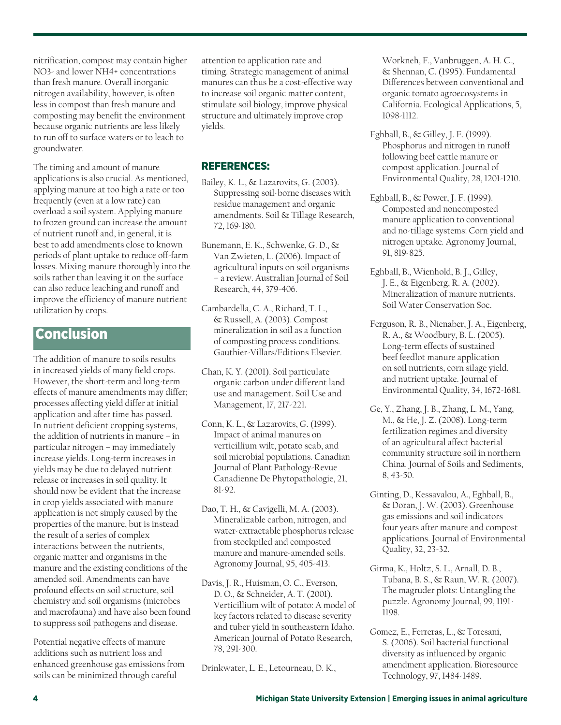nitrification, compost may contain higher NO3- and lower NH4+ concentrations than fresh manure. Overall inorganic nitrogen availability, however, is often less in compost than fresh manure and composting may benefit the environment because organic nutrients are less likely to run off to surface waters or to leach to groundwater.

The timing and amount of manure applications is also crucial. As mentioned, applying manure at too high a rate or too frequently (even at a low rate) can overload a soil system. Applying manure to frozen ground can increase the amount of nutrient runoff and, in general, it is best to add amendments close to known periods of plant uptake to reduce off-farm losses. Mixing manure thoroughly into the soils rather than leaving it on the surface can also reduce leaching and runoff and improve the efficiency of manure nutrient utilization by crops.

# Conclusion

The addition of manure to soils results in increased yields of many field crops. However, the short-term and long-term effects of manure amendments may differ; processes affecting yield differ at initial application and after time has passed. In nutrient deficient cropping systems, the addition of nutrients in manure – in particular nitrogen – may immediately increase yields. Long-term increases in yields may be due to delayed nutrient release or increases in soil quality. It should now be evident that the increase in crop yields associated with manure application is not simply caused by the properties of the manure, but is instead the result of a series of complex interactions between the nutrients, organic matter and organisms in the manure and the existing conditions of the amended soil. Amendments can have profound effects on soil structure, soil chemistry and soil organisms (microbes and macrofauna) and have also been found to suppress soil pathogens and disease.

Potential negative effects of manure additions such as nutrient loss and enhanced greenhouse gas emissions from soils can be minimized through careful

attention to application rate and timing. Strategic management of animal manures can thus be a cost-effective way to increase soil organic matter content, stimulate soil biology, improve physical structure and ultimately improve crop yields.

#### REFERENCES:

- Bailey, K. L., & Lazarovits, G. (2003). Suppressing soil-borne diseases with residue management and organic amendments. Soil & Tillage Research, 72, 169-180.
- Bunemann, E. K., Schwenke, G. D., & Van Zwieten, L. (2006). Impact of agricultural inputs on soil organisms – a review. Australian Journal of Soil Research, 44, 379-406.
- Cambardella, C. A., Richard, T. L., & Russell, A. (2003). Compost mineralization in soil as a function of composting process conditions. Gauthier-Villars/Editions Elsevier.
- Chan, K. Y. (2001). Soil particulate organic carbon under different land use and management. Soil Use and Management, 17, 217-221.
- Conn, K. L., & Lazarovits, G. (1999). Impact of animal manures on verticillium wilt, potato scab, and soil microbial populations. Canadian Journal of Plant Pathology-Revue Canadienne De Phytopathologie, 21, 81-92.
- Dao, T. H., & Cavigelli, M. A. (2003). Mineralizable carbon, nitrogen, and water-extractable phosphorus release from stockpiled and composted manure and manure-amended soils. Agronomy Journal, 95, 405-413.
- Davis, J. R., Huisman, O. C., Everson, D. O., & Schneider, A. T. (2001). Verticillium wilt of potato: A model of key factors related to disease severity and tuber yield in southeastern Idaho. American Journal of Potato Research, 78, 291-300.

Drinkwater, L. E., Letourneau, D. K.,

Workneh, F., Vanbruggen, A. H. C., & Shennan, C. (1995). Fundamental Differences between conventional and organic tomato agroecosystems in California. Ecological Applications, 5, 1098-1112.

- Eghball, B., & Gilley, J. E. (1999). Phosphorus and nitrogen in runoff following beef cattle manure or compost application. Journal of Environmental Quality, 28, 1201-1210.
- Eghball, B., & Power, J. F. (1999). Composted and noncomposted manure application to conventional and no-tillage systems: Corn yield and nitrogen uptake. Agronomy Journal, 91, 819-825.
- Eghball, B., Wienhold, B. J., Gilley, J. E., & Eigenberg, R. A. (2002). Mineralization of manure nutrients. Soil Water Conservation Soc.
- Ferguson, R. B., Nienaber, J. A., Eigenberg, R. A., & Woodbury, B. L. (2005). Long-term effects of sustained beef feedlot manure application on soil nutrients, corn silage yield, and nutrient uptake. Journal of Environmental Quality, 34, 1672-1681.
- Ge, Y., Zhang, J. B., Zhang, L. M., Yang, M., & He, J. Z. (2008). Long-term fertilization regimes and diversity of an agricultural affect bacterial community structure soil in northern China. Journal of Soils and Sediments, 8, 43-50.
- Ginting, D., Kessavalou, A., Eghball, B., & Doran, J. W. (2003). Greenhouse gas emissions and soil indicators four years after manure and compost applications. Journal of Environmental Quality, 32, 23-32.
- Girma, K., Holtz, S. L., Arnall, D. B., Tubana, B. S., & Raun, W. R. (2007). The magruder plots: Untangling the puzzle. Agronomy Journal, 99, 1191- 1198.
- Gomez, E., Ferreras, L., & Toresani, S. (2006). Soil bacterial functional diversity as influenced by organic amendment application. Bioresource Technology, 97, 1484-1489.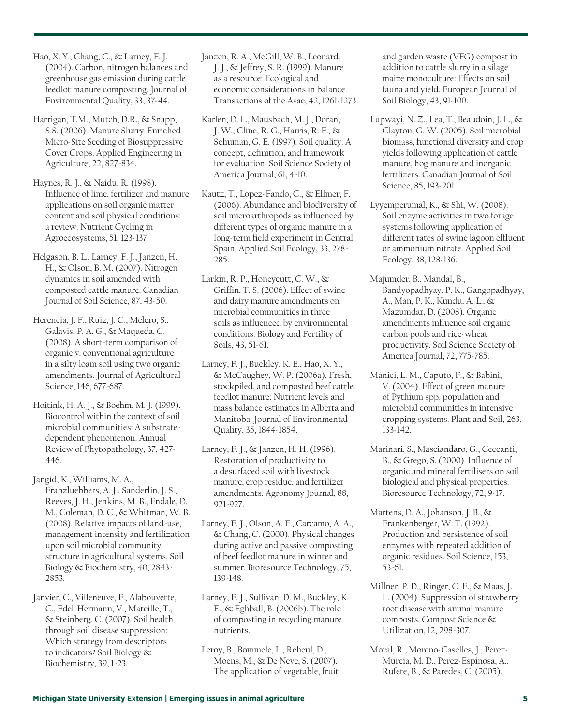Harrigan, T.M., Mutch, D.R., & Snapp, S.S. (2006). Manure Slurry-Enriched Micro-Site Seeding of Biosuppressive Cover Crops. Applied Engineering in Agriculture, 22, 827-834.

Haynes, R. J., & Naidu, R. (1998). Influence of lime, fertilizer and manure applications on soil organic matter content and soil physical conditions: a review. Nutrient Cycling in Agroecosystems, 51, 123-137.

Helgason, B. L., Larney, F. J., Janzen, H. H., & Olson, B. M. (2007). Nitrogen dynamics in soil amended with composted cattle manure. Canadian Journal of Soil Science, 87, 43-50.

Herencia, J. F., Ruiz, J. C., Melero, S., Galavis, P. A. G., & Maqueda, C. (2008). A short-term comparison of organic v. conventional agriculture in a silty loam soil using two organic amendments. Journal of Agricultural Science, 146, 677-687.

Hoitink, H. A. J., & Boehm, M. J. (1999). Biocontrol within the context of soil microbial communities: A substratedependent phenomenon. Annual Review of Phytopathology, 37, 427- 446.

Jangid, K., Williams, M. A., Franzluebbers, A. J., Sanderlin, J. S., Reeves, J. H., Jenkins, M. B., Endale, D. M., Coleman, D. C., & Whitman, W. B. (2008). Relative impacts of land-use, management intensity and fertilization upon soil microbial community structure in agricultural systems. Soil Biology & Biochemistry, 40, 2843- 2853.

Janvier, C., Villeneuve, F., Alabouvette, C., Edel-Hermann, V., Mateille, T., & Steinberg, C. (2007). Soil health through soil disease suppression: Which strategy from descriptors to indicators? Soil Biology & Biochemistry, 39, 1-23.

Janzen, R. A., McGill, W. B., Leonard, J. J., & Jeffrey, S. R. (1999). Manure as a resource: Ecological and economic considerations in balance. Transactions of the Asae, 42, 1261-1273.

Karlen, D. L., Mausbach, M. J., Doran, J. W., Cline, R. G., Harris, R. F., & Schuman, G. E. (1997). Soil quality: A concept, definition, and framework for evaluation. Soil Science Society of America Journal, 61, 4-10.

Kautz, T., Lopez-Fando, C., & Ellmer, F. (2006). Abundance and biodiversity of soil microarthropods as influenced by different types of organic manure in a long-term field experiment in Central Spain. Applied Soil Ecology, 33, 278- 285.

Larkin, R. P., Honeycutt, C. W., & Griffin, T. S. (2006). Effect of swine and dairy manure amendments on microbial communities in three soils as influenced by environmental conditions. Biology and Fertility of Soils, 43, 51-61.

Larney, F. J., Buckley, K. E., Hao, X. Y., & McCaughey, W. P. (2006a). Fresh, stockpiled, and composted beef cattle feedlot manure: Nutrient levels and mass balance estimates in Alberta and Manitoba. Journal of Environmental Quality, 35, 1844-1854.

Larney, F. J., & Janzen, H. H. (1996). Restoration of productivity to a desurfaced soil with livestock manure, crop residue, and fertilizer amendments. Agronomy Journal, 88, 921-927.

Larney, F. J., Olson, A. F., Carcamo, A. A., & Chang, C. (2000). Physical changes during active and passive composting of beef feedlot manure in winter and summer. Bioresource Technology, 75, 139-148.

Larney, F. J., Sullivan, D. M., Buckley, K. E., & Eghball, B. (2006b). The role of composting in recycling manure nutrients.

Leroy, B., Bommele, L., Reheul, D., Moens, M., & De Neve, S. (2007). The application of vegetable, fruit

and garden waste (VFG) compost in addition to cattle slurry in a silage maize monoculture: Effects on soil fauna and yield. European Journal of Soil Biology, 43, 91-100.

Lupwayi, N. Z., Lea, T., Beaudoin, J. L., & Clayton, G. W. (2005). Soil microbial biomass, functional diversity and crop yields following application of cattle manure, hog manure and inorganic fertilizers. Canadian Journal of Soil Science, 85, 193-201.

Lyyemperumal, K., & Shi, W. (2008). Soil enzyme activities in two forage systems following application of different rates of swine lagoon effluent or ammonium nitrate. Applied Soil Ecology, 38, 128-136.

Majumder, B., Mandal, B., Bandyopadhyay, P. K., Gangopadhyay, A., Man, P. K., Kundu, A. L., & Mazumdar, D. (2008). Organic amendments influence soil organic carbon pools and rice-wheat productivity. Soil Science Society of America Journal, 72, 775-785.

Manici, L. M., Caputo, F., & Babini, V. (2004). Effect of green manure of Pythium spp. population and microbial communities in intensive cropping systems. Plant and Soil, 263, 133-142.

Marinari, S., Masciandaro, G., Ceccanti, B., & Grego, S. (2000). Influence of organic and mineral fertilisers on soil biological and physical properties. Bioresource Technology, 72, 9-17.

Martens, D. A., Johanson, J. B., & Frankenberger, W. T. (1992). Production and persistence of soil enzymes with repeated addition of organic residues. Soil Science, 153, 53-61.

Millner, P. D., Ringer, C. E., & Maas, J. L. (2004). Suppression of strawberry root disease with animal manure composts. Compost Science & Utilization, 12, 298-307.

Moral, R., Moreno-Caselles, J., Perez-Murcia, M. D., Perez-Espinosa, A., Rufete, B., & Paredes, C. (2005).